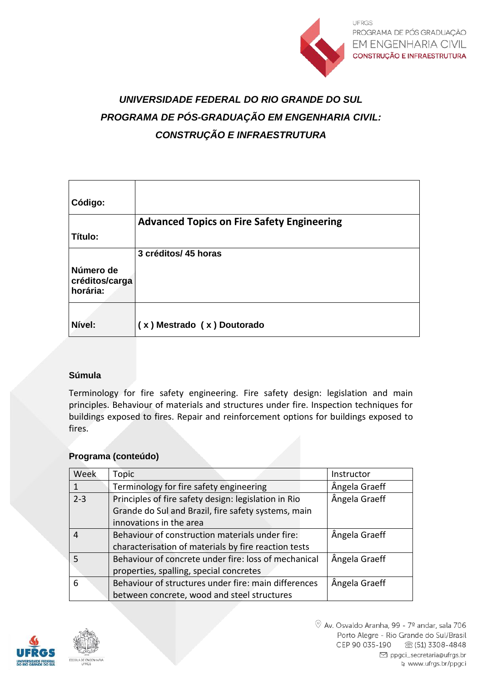

# *UNIVERSIDADE FEDERAL DO RIO GRANDE DO SUL PROGRAMA DE PÓS-GRADUAÇÃO EM ENGENHARIA CIVIL: CONSTRUÇÃO E INFRAESTRUTURA*

| Código:                                 |                                                   |
|-----------------------------------------|---------------------------------------------------|
|                                         | <b>Advanced Topics on Fire Safety Engineering</b> |
| Título:                                 |                                                   |
|                                         | 3 créditos/ 45 horas                              |
| Número de<br>créditos/carga<br>horária: |                                                   |
| Nível:                                  | (x) Mestrado (x) Doutorado                        |

### **Súmula**

Terminology for fire safety engineering. Fire safety design: legislation and main principles. Behaviour of materials and structures under fire. Inspection techniques for buildings exposed to fires. Repair and reinforcement options for buildings exposed to fires.

#### **Programa (conteúdo)**

| Week    | Topic                                                | Instructor    |
|---------|------------------------------------------------------|---------------|
|         | Terminology for fire safety engineering              | Ângela Graeff |
| $2 - 3$ | Principles of fire safety design: legislation in Rio | Ângela Graeff |
|         | Grande do Sul and Brazil, fire safety systems, main  |               |
|         | innovations in the area                              |               |
| 4       | Behaviour of construction materials under fire:      | Ângela Graeff |
|         | characterisation of materials by fire reaction tests |               |
|         | Behaviour of concrete under fire: loss of mechanical | Ângela Graeff |
|         | properties, spalling, special concretes              |               |
| 6       | Behaviour of structures under fire: main differences | Ângela Graeff |
|         | between concrete, wood and steel structures          |               |

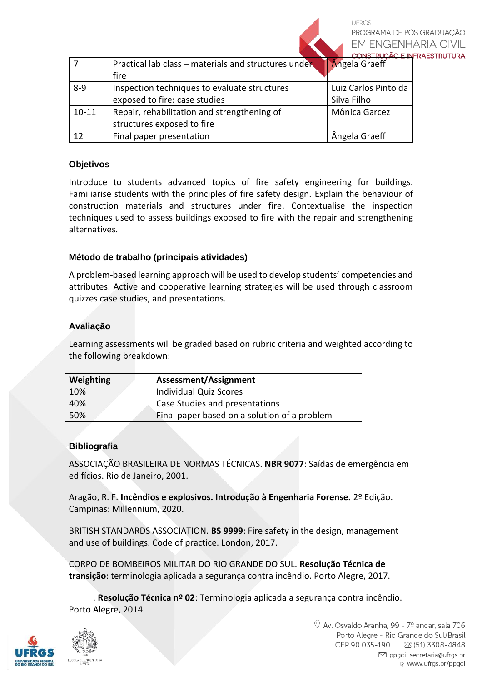UFRGS PROGRAMA DE PÓS GRADUACÃO **EM ENGENHARIA CIVIL NSTRUÇÃO E INFRAESTRUTURA** 

|           | Practical lab class - materials and structures under<br>fire                  | Angela Graeff                       |
|-----------|-------------------------------------------------------------------------------|-------------------------------------|
| $8 - 9$   | Inspection techniques to evaluate structures<br>exposed to fire: case studies | Luiz Carlos Pinto da<br>Silva Filho |
| $10 - 11$ | Repair, rehabilitation and strengthening of<br>structures exposed to fire     | Mônica Garcez                       |
| 12        | Final paper presentation                                                      | Ângela Graeff                       |

## **Objetivos**

Introduce to students advanced topics of fire safety engineering for buildings. Familiarise students with the principles of fire safety design. Explain the behaviour of construction materials and structures under fire. Contextualise the inspection techniques used to assess buildings exposed to fire with the repair and strengthening alternatives.

### **Método de trabalho (principais atividades)**

A problem-based learning approach will be used to develop students' competencies and attributes. Active and cooperative learning strategies will be used through classroom quizzes case studies, and presentations.

#### **Avaliação**

Learning assessments will be graded based on rubric criteria and weighted according to the following breakdown:

| Weighting | Assessment/Assignment                        |
|-----------|----------------------------------------------|
| 10%       | <b>Individual Quiz Scores</b>                |
| 40%       | Case Studies and presentations               |
| 50%       | Final paper based on a solution of a problem |

### **Bibliografia**

ASSOCIAÇÃO BRASILEIRA DE NORMAS TÉCNICAS. **NBR 9077**: Saídas de emergência em edifícios. Rio de Janeiro, 2001.

Aragão, R. F. **Incêndios e explosivos. Introdução à Engenharia Forense.** 2º Edição. Campinas: Millennium, 2020.

BRITISH STANDARDS ASSOCIATION. **BS 9999**: Fire safety in the design, management and use of buildings. Code of practice. London, 2017.

CORPO DE BOMBEIROS MILITAR DO RIO GRANDE DO SUL. **Resolução Técnica de transição**: terminologia aplicada a segurança contra incêndio. Porto Alegre, 2017.

\_\_\_\_\_. **Resolução Técnica nº 02**: Terminologia aplicada a segurança contra incêndio. Porto Alegre, 2014.